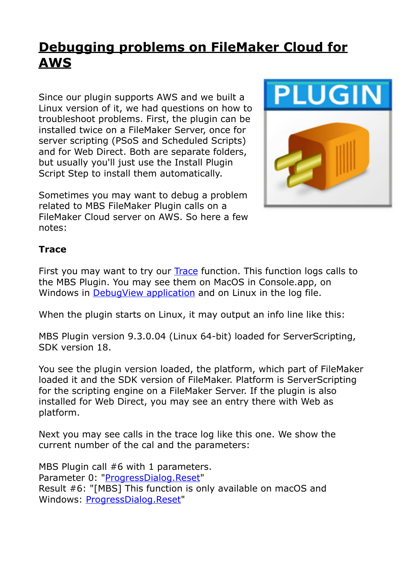## **[Debugging problems on FileMaker Cloud for](https://www.mbs-plugins.com/archive/2019-06-30/Debugging_problems_on_FileMake/monkeybreadsoftware_blog_filemaker)  [AWS](https://www.mbs-plugins.com/archive/2019-06-30/Debugging_problems_on_FileMake/monkeybreadsoftware_blog_filemaker)**

Since our plugin supports AWS and we built a Linux version of it, we had questions on how to troubleshoot problems. First, the plugin can be installed twice on a FileMaker Server, once for server scripting (PSoS and Scheduled Scripts) and for Web Direct. Both are separate folders, but usually you'll just use the Install Plugin Script Step to install them automatically.

Sometimes you may want to debug a problem related to MBS FileMaker Plugin calls on a FileMaker Cloud server on AWS. So here a few notes:



## **Trace**

First you may want to try our [Trace](https://mbsplugins.eu/Trace.shtml) function. This function logs calls to the MBS Plugin. You may see them on MacOS in Console.app, on Windows in [DebugView application](https://docs.microsoft.com/en-us/sysinternals/downloads/debugview) and on Linux in the log file.

When the plugin starts on Linux, it may output an info line like this:

MBS Plugin version 9.3.0.04 (Linux 64-bit) loaded for ServerScripting, SDK version 18.

You see the plugin version loaded, the platform, which part of FileMaker loaded it and the SDK version of FileMaker. Platform is ServerScripting for the scripting engine on a FileMaker Server. If the plugin is also installed for Web Direct, you may see an entry there with Web as platform.

Next you may see calls in the trace log like this one. We show the current number of the cal and the parameters:

MBS Plugin call #6 with 1 parameters. Parameter 0: ["ProgressDialog.Reset](http://www.mbsplugins.eu/ProgressDialogReset.shtml)" Result #6: "[MBS] This function is only available on macOS and Windows: [ProgressDialog.Reset](http://www.mbsplugins.eu/ProgressDialogReset.shtml)"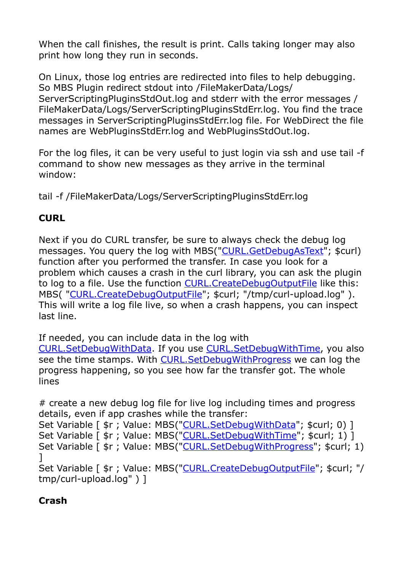When the call finishes, the result is print. Calls taking longer may also print how long they run in seconds.

On Linux, those log entries are redirected into files to help debugging. So MBS Plugin redirect stdout into /FileMakerData/Logs/ ServerScriptingPluginsStdOut.log and stderr with the error messages / FileMakerData/Logs/ServerScriptingPluginsStdErr.log. You find the trace messages in ServerScriptingPluginsStdErr.log file. For WebDirect the file names are WebPluginsStdErr.log and WebPluginsStdOut.log.

For the log files, it can be very useful to just login via ssh and use tail -f command to show new messages as they arrive in the terminal window:

tail -f /FileMakerData/Logs/ServerScriptingPluginsStdErr.log

## **CURL**

Next if you do CURL transfer, be sure to always check the debug log messages. You query the log with MBS(["CURL.GetDebugAsText"](http://www.mbsplugins.eu/CURLGetDebugAsText.shtml); \$curl) function after you performed the transfer. In case you look for a problem which causes a crash in the curl library, you can ask the plugin to log to a file. Use the function [CURL.CreateDebugOutputFile](http://www.mbsplugins.eu/CURLCreateDebugOutputFile.shtml) like this: MBS( "[CURL.CreateDebugOutputFile](http://www.mbsplugins.eu/CURLCreateDebugOutputFile.shtml)"; \$curl; "/tmp/curl-upload.log" ). This will write a log file live, so when a crash happens, you can inspect last line.

If needed, you can include data in the log with

[CURL.SetDebugWithData](http://www.mbsplugins.eu/CURLSetDebugWithData.shtml). If you use [CURL.SetDebugWithTime](http://www.mbsplugins.eu/CURLSetDebugWithTime.shtml), you also see the time stamps. With [CURL.SetDebugWithProgress](http://www.mbsplugins.eu/CURLSetDebugWithProgress.shtml) we can log the progress happening, so you see how far the transfer got. The whole lines

# create a new debug log file for live log including times and progress details, even if app crashes while the transfer: Set Variable [ \$r ; Value: MBS(["CURL.SetDebugWithData](http://www.mbsplugins.eu/CURLSetDebugWithData.shtml)"; \$curl; 0) ] Set Variable [ \$r ; Value: MBS(["CURL.SetDebugWithTime](http://www.mbsplugins.eu/CURLSetDebugWithTime.shtml)"; \$curl; 1) ] Set Variable [  $\frac{1}{2}r$  ; Value: MBS(["CURL.SetDebugWithProgress"](http://www.mbsplugins.eu/CURLSetDebugWithProgress.shtml); \$curl; 1) ] Set Variable [ \$r ; Value: MBS(["CURL.CreateDebugOutputFile](http://www.mbsplugins.eu/CURLCreateDebugOutputFile.shtml)"; \$curl; "/ tmp/curl-upload.log" ) ]

## **Crash**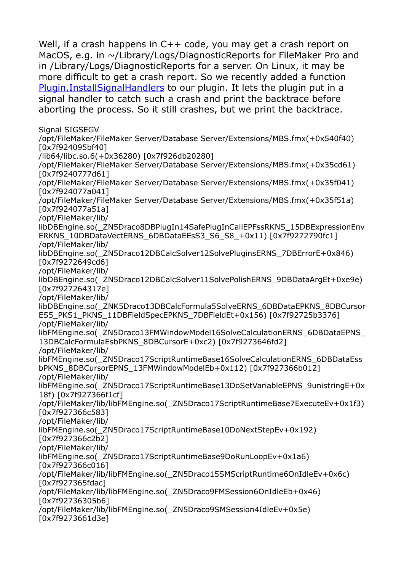Well, if a crash happens in C++ code, you may get a crash report on MacOS, e.g. in ~/Library/Logs/DiagnosticReports for FileMaker Pro and in /Library/Logs/DiagnosticReports for a server. On Linux, it may be more difficult to get a crash report. So we recently added a function [Plugin.InstallSignalHandlers](http://www.mbsplugins.eu/PluginInstallSignalHandlers.shtml) to our plugin. It lets the plugin put in a signal handler to catch such a crash and print the backtrace before aborting the process. So it still crashes, but we print the backtrace.

Signal SIGSEGV

/opt/FileMaker/FileMaker Server/Database Server/Extensions/MBS.fmx(+0x540f40) [0x7f924095bf40] /lib64/libc.so.6(+0x36280) [0x7f926db20280] /opt/FileMaker/FileMaker Server/Database Server/Extensions/MBS.fmx(+0x35cd61) [0x7f9240777d61] /opt/FileMaker/FileMaker Server/Database Server/Extensions/MBS.fmx(+0x35f041) [0x7f924077a041] /opt/FileMaker/FileMaker Server/Database Server/Extensions/MBS.fmx(+0x35f51a) [0x7f924077a51a] /opt/FileMaker/lib/

libDBEngine.so(\_ZN5Draco8DBPlugIn14SafePlugInCallEPFssRKNS\_15DBExpressionEnv ERKNS\_10DBDataVectERNS\_6DBDataEEsS3\_S6\_S8\_+0x11) [0x7f9272790fc1] /opt/FileMaker/lib/

libDBEngine.so(\_ZN5Draco12DBCalcSolver12SolvePluginsERNS\_7DBErrorE+0x846) [0x7f9272649cd6]

/opt/FileMaker/lib/

libDBEngine.so(\_ZN5Draco12DBCalcSolver11SolvePolishERNS\_9DBDataArgEt+0xe9e) [0x7f927264317e]

/opt/FileMaker/lib/

libDBEngine.so(\_ZNK5Draco13DBCalcFormula5SolveERNS\_6DBDataEPKNS\_8DBCursor ES5\_PKS1\_PKNS\_11DBFieldSpecEPKNS\_7DBFieldEt+0x156) [0x7f92725b3376] /opt/FileMaker/lib/

libFMEngine.so(\_ZN5Draco13FMWindowModel16SolveCalculationERNS\_6DBDataEPNS\_ 13DBCalcFormulaEsbPKNS\_8DBCursorE+0xc2) [0x7f9273646fd2]

/opt/FileMaker/lib/

libFMEngine.so(\_ZN5Draco17ScriptRuntimeBase16SolveCalculationERNS\_6DBDataEss bPKNS\_8DBCursorEPNS\_13FMWindowModelEb+0x112) [0x7f927366b012] /opt/FileMaker/lib/

libFMEngine.so(\_ZN5Draco17ScriptRuntimeBase13DoSetVariableEPNS\_9unistringE+0x 18f) [0x7f927366f1cf]

/opt/FileMaker/lib/libFMEngine.so(\_ZN5Draco17ScriptRuntimeBase7ExecuteEv+0x1f3) [0x7f927366c583]

/opt/FileMaker/lib/

libFMEngine.so(\_ZN5Draco17ScriptRuntimeBase10DoNextStepEv+0x192)

[0x7f927366c2b2]

/opt/FileMaker/lib/

libFMEngine.so(\_ZN5Draco17ScriptRuntimeBase9DoRunLoopEv+0x1a6)

[0x7f927366c016]

/opt/FileMaker/lib/libFMEngine.so(\_ZN5Draco15SMScriptRuntime6OnIdleEv+0x6c) [0x7f927365fdac]

/opt/FileMaker/lib/libFMEngine.so(\_ZN5Draco9FMSession6OnIdleEb+0x46) [0x7f92736305b6]

/opt/FileMaker/lib/libFMEngine.so(\_ZN5Draco9SMSession4IdleEv+0x5e)

[0x7f9273661d3e]